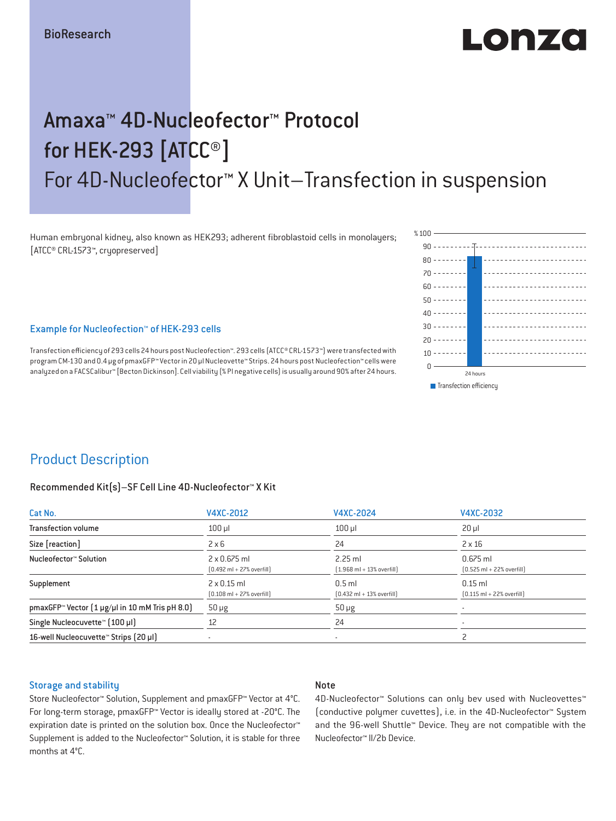# $\blacksquare$ o la  $\blacktriangleright$ zo

## Amaxa™ 4D-Nucleofector™ Protocol for HEK-293 [ATCC®] For 4D-Nucleofector™ X Unit–Transfection in suspension

Human embryonal kidney, also known as HEK293; adherent fibroblastoid cells in monolayers; [ATCC® CRL-1573™, cryopreserved]

### **Transfection efficiency** 80  $70 - 222$  $60$  -------- $50 - - - - - - 40 - - - - - -$ 30  $20 - - - - - - - 10 - - - - - - -$ 24 hours

90

% 100

#### Example for Nucleofection™ of HEK-293 cells

Transfection efficiency of 293 cells 24 hours post Nucleofection™. 293 cells (ATCC® CRL-1573™) were transfected with program CM-130 and 0.4 μg of pmaxGFP™ Vector in 20 µl Nucleovette™ Strips. 24 hours post Nucleofection™ cells were analyzed on a FACSCalibur™ [Becton Dickinson]. Cell viability (% PI negative cells) is usually around 90% after 24 hours.

### Product Description

### Recommended Kit(s)–SF Cell Line 4D-Nucleofector™ X Kit

| Cat No.                                                           | V4XC-2012                                                           | V4XC-2024                                                 | V4XC-2032                                                  |  |
|-------------------------------------------------------------------|---------------------------------------------------------------------|-----------------------------------------------------------|------------------------------------------------------------|--|
| <b>Transfection volume</b>                                        | $100$ $\mu$                                                         | $100$ $\mu$                                               | $20 \mu$                                                   |  |
| Size [reaction]                                                   | $2 \times 6$                                                        | 24                                                        | $2 \times 16$                                              |  |
| Nucleofector™ Solution                                            | $2 \times 0.675$ ml<br>$[0.492 \text{ ml} + 27\% \text{ overfill}]$ | $2.25$ ml<br>$[1.968 \text{ ml} + 13\% \text{ overfill}]$ | $0.675$ ml<br>$[0.525 \text{ ml} + 22\% \text{ overfill}]$ |  |
| Supplement                                                        | $2 \times 0.15$ ml<br>$[0.108 \text{ ml} + 27\% \text{ overfill}]$  | $0.5$ ml<br>$[0.432 \text{ ml} + 13\% \text{ overfill}]$  | $0.15$ ml<br>$[0.115 \text{ ml} + 22\% \text{ overfill}]$  |  |
| pmaxGFP <sup>*</sup> Vector $(1 \mu g/\mu)$ in 10 mM Tris pH 8.0) | $50 \mu g$                                                          | $50 \mu g$                                                |                                                            |  |
| Single Nucleocuvette™ [100 µl]                                    | 12                                                                  | 24                                                        |                                                            |  |
| 16-well Nucleocuvette <sup>™</sup> Strips [20 µl]                 | $\overline{\phantom{a}}$                                            | $\sim$                                                    |                                                            |  |

#### Storage and stability

### Note

Store Nucleofector™ Solution, Supplement and pmaxGFP™ Vector at 4°C. For long-term storage, pmaxGFP™ Vector is ideally stored at -20°C. The expiration date is printed on the solution box. Once the Nucleofector™ Supplement is added to the Nucleofector™ Solution, it is stable for three months at 4°C.

4D-Nucleofector™ Solutions can only bev used with Nucleovettes™ (conductive polymer cuvettes), i.e. in the 4D-Nucleofector™ System and the 96-well Shuttle™ Device. They are not compatible with the Nucleofector™ II/2b Device.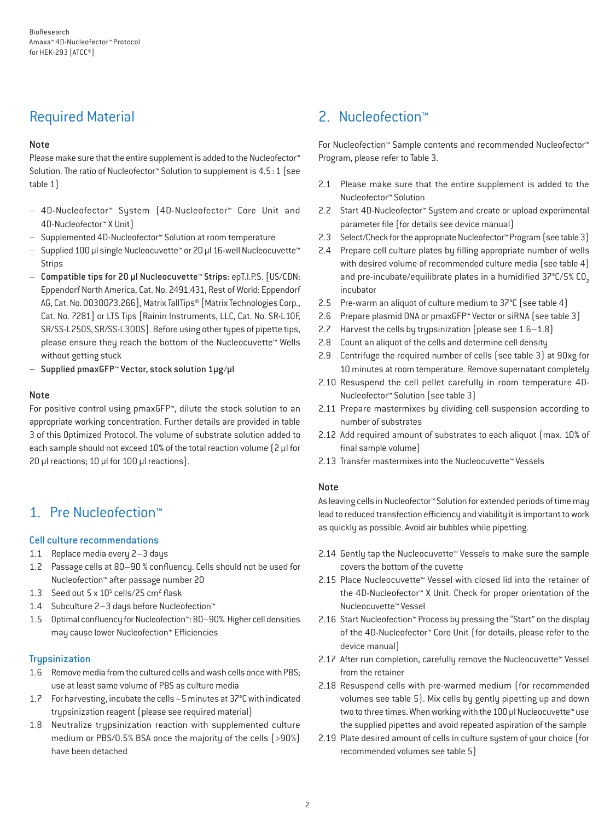### Required Material

### Note

Please make sure that the entire supplement is added to the Nucleofector<sup>™</sup> Solution. The ratio of Nucleofector™ Solution to supplement is 4.5:1 (see table 1)

- 4D-Nucleofector™ System (4D-Nucleofector™ Core Unit and 4D-Nucleofector™ X Unit)
- Supplemented 4D-Nucleofector™ Solution at room temperature
- Supplied 100 µl single Nucleocuvette™ or 20 µl 16-well Nucleocuvette™ Strips
- Compatible tips for 20 µl Nucleocuvette™ Strips: epT.I.P.S. [US/CDN: Eppendorf North America, Cat. No. 2491.431, Rest of World: Eppendorf AG, Cat. No. 0030073.266], Matrix TallTips® [Matrix Technologies Corp., Cat. No. 7281] or LTS Tips [Rainin Instruments, LLC, Cat. No. SR-L10F, SR/SS-L250S, SR/SS-L300S]. Before using other types of pipette tips, please ensure they reach the bottom of the Nucleocuvette™ Wells without getting stuck
- Supplied pmaxGFP™ Vector, stock solution 1µg/µl

### Note

For positive control using pmaxGFP™, dilute the stock solution to an appropriate working concentration. Further details are provided in table 3 of this Optimized Protocol. The volume of substrate solution added to each sample should not exceed 10% of the total reaction volume [2 µl for 20 µl reactions; 10 µl for 100 µl reactions).

### 1. Pre Nucleofection™

### Cell culture recommendations

- 1.1 Replace media every 2–3 days
- 1.2 Passage cells at 80–90 % confluency. Cells should not be used for Nucleofection™ after passage number 20
- 1.3 Seed out  $5 \times 10^5$  cells/25 cm<sup>2</sup> flask
- 1.4 Subculture 2–3 days before Nucleofection™
- 1.5 Optimal confluency for Nucleofection™: 80–90%. Higher cell densities may cause lower Nucleofection™ Efficiencies

### **Trypsinization**

- 1.6 Remove media from the cultured cells and wash cells once with PBS; use at least same volume of PBS as culture media
- 1.7 For harvesting, incubate the cells ~5 minutes at 37°C with indicated trypsinization reagent (please see required material)
- 1.8 Neutralize trypsinization reaction with supplemented culture medium or PBS/0.5% BSA once the majority of the cells (>90%) have been detached

### 2. Nucleofection™

For Nucleofection™ Sample contents and recommended Nucleofector™ Program, please refer to Table 3.

- 2.1 Please make sure that the entire supplement is added to the Nucleofector™ Solution
- 2.2 Start 4D-Nucleofector™ System and create or upload experimental parameter file (for details see device manual)
- 2.3 Select/Check for the appropriate Nucleofector™ Program (see table 3)
- 2.4 Prepare cell culture plates by filling appropriate number of wells with desired volume of recommended culture media (see table 4) and pre-incubate/equilibrate plates in a humidified  $37^{\circ}$ C/5% CO<sub>2</sub> incubator
- 2.5 Pre-warm an aliquot of culture medium to 37°C (see table 4)
- 2.6 Prepare plasmid DNA or pmaxGFP™ Vector or siRNA (see table 3)
- 2.7 Harvest the cells by trypsinization (please see 1.6–1.8)
- 2.8 Count an aliquot of the cells and determine cell density
- 2.9 Centrifuge the required number of cells (see table 3) at 90xg for 10 minutes at room temperature. Remove supernatant completely
- 2.10 Resuspend the cell pellet carefully in room temperature 4D-Nucleofector™ Solution (see table 3)
- 2.11 Prepare mastermixes by dividing cell suspension according to number of substrates
- 2.12 Add required amount of substrates to each aliquot (max. 10% of final sample volume)
- 2.13 Transfer mastermixes into the Nucleocuvette™ Vessels

### Note

As leaving cells in Nucleofector™ Solution for extended periods of time may lead to reduced transfection efficiency and viability it is important to work as quickly as possible. Avoid air bubbles while pipetting.

- 2.14 Gently tap the Nucleocuvette™ Vessels to make sure the sample covers the bottom of the cuvette
- 2.15 Place Nucleocuvette™ Vessel with closed lid into the retainer of the 4D-Nucleofector™ X Unit. Check for proper orientation of the Nucleocuvette™ Vessel
- 2.16 Start Nucleofection™ Process by pressing the "Start" on the display of the 4D-Nucleofector™ Core Unit (for details, please refer to the device manual)
- 2.17 After run completion, carefully remove the Nucleocuvette™ Vessel from the retainer
- 2.18 Resuspend cells with pre-warmed medium (for recommended volumes see table 5). Mix cells by gently pipetting up and down two to three times. When working with the 100 µl Nucleocuvette™ use the supplied pipettes and avoid repeated aspiration of the sample
- 2.19 Plate desired amount of cells in culture system of your choice (for recommended volumes see table 5)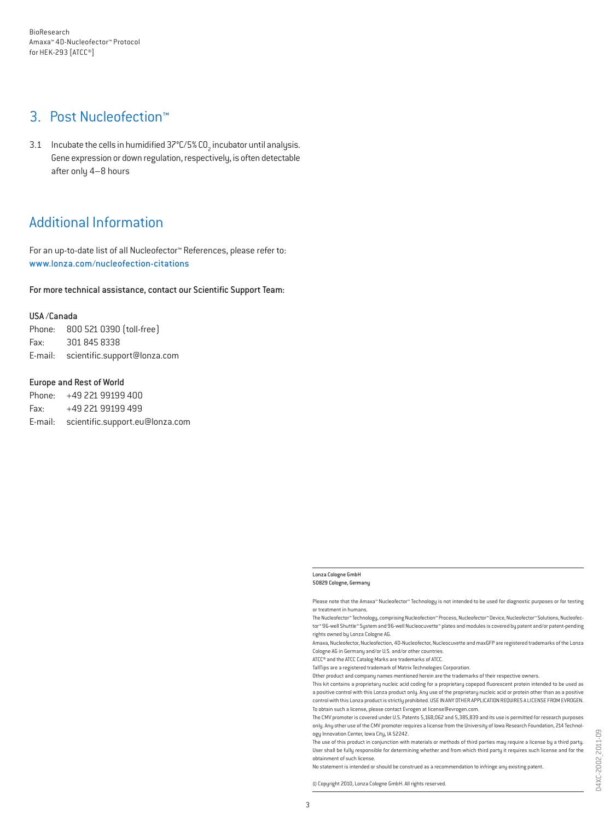### 3. Post Nucleofection™

3.1 Incubate the cells in humidified 37°C/5% CO<sub>2</sub> incubator until analysis. Gene expression or down regulation, respectively, is often detectable after only 4–8 hours

### Additional Information

For an up-to-date list of all Nucleofector™ References, please refer to: www.lonza.com/nucleofection-citations

For more technical assistance, contact our Scientific Support Team:

#### USA /Canada

Phone: 800 521 0390 (toll-free) Fax: 301 845 8338 E-mail: scientific.support@lonza.com

#### Europe and Rest of World

Phone: +49 221 99199 400 Fax: +49 221 99199 499 E-mail: scientific.support.eu@lonza.com

#### Lonza Cologne GmbH 50829 Cologne, Germany

Please note that the Amaxa™ Nucleofector™ Technology is not intended to be used for diagnostic purposes or for testing or treatment in humans.

The Nucleofector™ Technology, comprising Nucleofection™ Process, Nucleofector™ Device, Nucleofector™ Solutions, Nucleofector™ 96-well Shuttle™ System and 96-well Nucleocuvette™ plates and modules is covered by patent and/or patent-pending rights owned by Lonza Cologne AG.

Amaxa, Nucleofector, Nucleofection, 4D-Nucleofector, Nucleocuvette and maxGFP are registered trademarks of the Lonza Cologne AG in Germany and/or U.S. and/or other countries.

ATCC® and the ATCC Catalog Marks are trademarks of ATCC.

TallTips are a registered trademark of Matrix Technologies Corporation.

Other product and company names mentioned herein are the trademarks of their respective owners.

This kit contains a proprietary nucleic acid coding for a proprietary copepod fluorescent protein intended to be used as a positive control with this Lonza product only. Any use of the proprietary nucleic acid or protein other than as a positive control with this Lonza product is strictly prohibited. USE IN ANY OTHER APPLICATION REQUIRES A LICENSE FROM EVROGEN. To obtain such a license, please contact Evrogen at license@evrogen.com.

The CMV promoter is covered under U.S. Patents 5,168,062 and 5,385,839 and its use is permitted for research purposes only. Any other use of the CMV promoter requires a license from the University of Iowa Research Foundation, 214 Technology Innovation Center, Iowa City, IA 52242.

The use of this product in conjunction with materials or methods of third parties may require a license by a third party. User shall be fully responsible for determining whether and from which third party it requires such license and for the obtainment of such license.

No statement is intended or should be construed as a recommendation to infringe any existing patent.

© Copyright 2010, Lonza Cologne GmbH. All rights reserved.